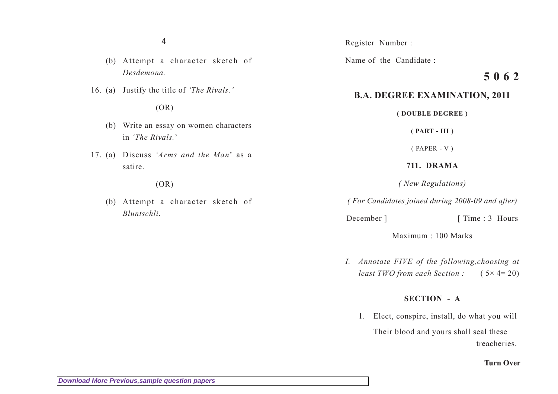#### 4

- (b) Attempt a character sketch of *Desdemona.*
- 16. (a) Justify the title of *'The Rivals.'*

# $(OR)$

- (b) Write an essay on women characters in *'The Rivals.*'
- 17. (a) Discuss *'Arms and the Man*' as a satire.

#### $(OR)$

(b) Attempt a character sketch of *Bluntschli*.

Register Number :

Name of the Candidate :

# **5 0 6 2**

# **B.A. DEGREE EXAMINATION, 2011**

**( DOUBLE DEGREE )**

**( PART - III )**

( PAPER - V )

# **711. DRAMA**

*( New Regulations)*

*( For Candidates joined during 2008-09 and after)*

December ] [ Time : 3 Hours

Maximum : 100 Marks

*I. Annotate FIVE of the following,choosing at least TWO from each Section :* ( 5× 4= 20)

## **SECTION - A**

1. Elect, conspire, install, do what you will

Their blood and yours shall seal these treacheries.

#### **Turn Over**